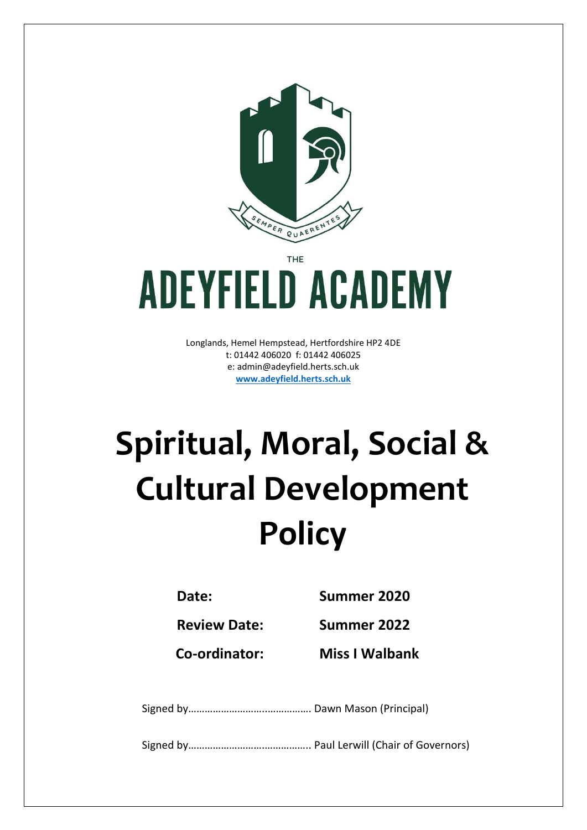

THE

# **ADEYFIELD ACADEMY**

Longlands, Hemel Hempstead, Hertfordshire HP2 4DE t: 01442 406020 f: 01442 406025 e: [admin@adeyfield.herts.sch.uk](mailto:admin@adeyfield.herts.sch.uk) **[www.adeyfield.herts.sch.uk](http://www.adeyfield.herts.sch.uk/)**

# **Spiritual, Moral, Social & Cultural Development Policy**

**Date: Summer 2020**

**Review Date: Summer 2022**

**Co-ordinator: Miss I Walbank**

Signed by………………………..……………. Dawn Mason (Principal)

Signed by……………………….…………….. Paul Lerwill (Chair of Governors)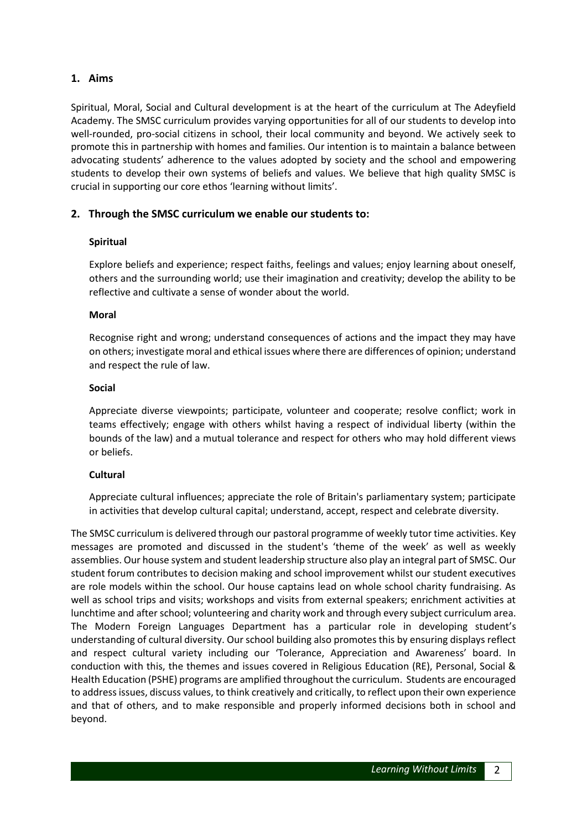# **1. Aims**

Spiritual, Moral, Social and Cultural development is at the heart of the curriculum at The Adeyfield Academy. The SMSC curriculum provides varying opportunities for all of our students to develop into well-rounded, pro-social citizens in school, their local community and beyond. We actively seek to promote this in partnership with homes and families. Our intention is to maintain a balance between advocating students' adherence to the values adopted by society and the school and empowering students to develop their own systems of beliefs and values. We believe that high quality SMSC is crucial in supporting our core ethos 'learning without limits'.

# **2. Through the SMSC curriculum we enable our students to:**

#### **Spiritual**

Explore beliefs and experience; respect faiths, feelings and values; enjoy learning about oneself, others and the surrounding world; use their imagination and creativity; develop the ability to be reflective and cultivate a sense of wonder about the world.

#### **Moral**

Recognise right and wrong; understand consequences of actions and the impact they may have on others; investigate moral and ethical issues where there are differences of opinion; understand and respect the rule of law.

#### **Social**

Appreciate diverse viewpoints; participate, volunteer and cooperate; resolve conflict; work in teams effectively; engage with others whilst having a respect of individual liberty (within the bounds of the law) and a mutual tolerance and respect for others who may hold different views or beliefs.

# **Cultural**

Appreciate cultural influences; appreciate the role of Britain's parliamentary system; participate in activities that develop cultural capital; understand, accept, respect and celebrate diversity.

The SMSC curriculum is delivered through our pastoral programme of weekly tutor time activities. Key messages are promoted and discussed in the student's 'theme of the week' as well as weekly assemblies. Our house system and student leadership structure also play an integral part of SMSC. Our student forum contributes to decision making and school improvement whilst our student executives are role models within the school. Our house captains lead on whole school charity fundraising. As well as school trips and visits; workshops and visits from external speakers; enrichment activities at lunchtime and after school; volunteering and charity work and through every subject curriculum area. The Modern Foreign Languages Department has a particular role in developing student's understanding of cultural diversity. Our school building also promotes this by ensuring displays reflect and respect cultural variety including our 'Tolerance, Appreciation and Awareness' board. In conduction with this, the themes and issues covered in Religious Education (RE), Personal, Social & Health Education (PSHE) programs are amplified throughout the curriculum. Students are encouraged to address issues, discuss values, to think creatively and critically, to reflect upon their own experience and that of others, and to make responsible and properly informed decisions both in school and beyond.